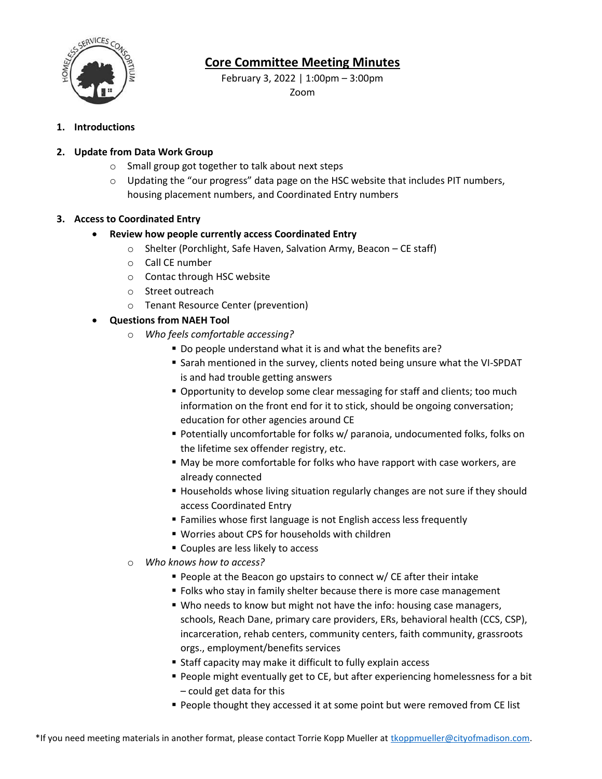

## **Core Committee Meeting Minutes**

February 3, 2022 | 1:00pm – 3:00pm Zoom

### **1. Introductions**

### **2. Update from Data Work Group**

- o Small group got together to talk about next steps
- $\circ$  Updating the "our progress" data page on the HSC website that includes PIT numbers, housing placement numbers, and Coordinated Entry numbers

#### **3. Access to Coordinated Entry**

### **Review how people currently access Coordinated Entry**

- o Shelter (Porchlight, Safe Haven, Salvation Army, Beacon CE staff)
- o Call CE number
- o Contac through HSC website
- o Street outreach
- o Tenant Resource Center (prevention)

## **Questions from NAEH Tool**

- o *Who feels comfortable accessing?*
	- Do people understand what it is and what the benefits are?
	- **Sarah mentioned in the survey, clients noted being unsure what the VI-SPDAT** is and had trouble getting answers
	- Opportunity to develop some clear messaging for staff and clients; too much information on the front end for it to stick, should be ongoing conversation; education for other agencies around CE
	- Potentially uncomfortable for folks w/ paranoia, undocumented folks, folks on the lifetime sex offender registry, etc.
	- May be more comfortable for folks who have rapport with case workers, are already connected
	- **Households whose living situation regularly changes are not sure if they should** access Coordinated Entry
	- **Families whose first language is not English access less frequently**
	- Worries about CPS for households with children
	- **Couples are less likely to access**
- o *Who knows how to access?*
	- **People at the Beacon go upstairs to connect w/ CE after their intake**
	- **Folks who stay in family shelter because there is more case management**
	- Who needs to know but might not have the info: housing case managers, schools, Reach Dane, primary care providers, ERs, behavioral health (CCS, CSP), incarceration, rehab centers, community centers, faith community, grassroots orgs., employment/benefits services
	- Staff capacity may make it difficult to fully explain access
	- **People might eventually get to CE, but after experiencing homelessness for a bit** – could get data for this
	- **People thought they accessed it at some point but were removed from CE list**